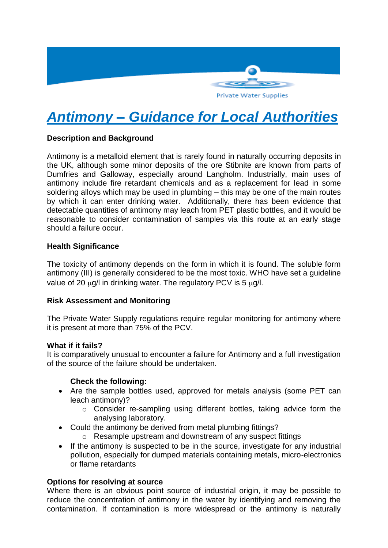

# *Antimony – Guidance for Local Authorities*

## **Description and Background**

Antimony is a metalloid element that is rarely found in naturally occurring deposits in the UK, although some minor deposits of the ore Stibnite are known from parts of Dumfries and Galloway, especially around Langholm. Industrially, main uses of antimony include fire retardant chemicals and as a replacement for lead in some soldering alloys which may be used in plumbing – this may be one of the main routes by which it can enter drinking water. Additionally, there has been evidence that detectable quantities of antimony may leach from PET plastic bottles, and it would be reasonable to consider contamination of samples via this route at an early stage should a failure occur.

## **Health Significance**

The toxicity of antimony depends on the form in which it is found. The soluble form antimony (III) is generally considered to be the most toxic. WHO have set a guideline value of 20  $\mu$ q/l in drinking water. The regulatory PCV is 5  $\mu$ q/l.

## **Risk Assessment and Monitoring**

The Private Water Supply regulations require regular monitoring for antimony where it is present at more than 75% of the PCV.

#### **What if it fails?**

It is comparatively unusual to encounter a failure for Antimony and a full investigation of the source of the failure should be undertaken.

## **Check the following:**

- Are the sample bottles used, approved for metals analysis (some PET can leach antimony)?
	- o Consider re-sampling using different bottles, taking advice form the analysing laboratory.
- Could the antimony be derived from metal plumbing fittings?
	- o Resample upstream and downstream of any suspect fittings
- If the antimony is suspected to be in the source, investigate for any industrial pollution, especially for dumped materials containing metals, micro-electronics or flame retardants

## **Options for resolving at source**

Where there is an obvious point source of industrial origin, it may be possible to reduce the concentration of antimony in the water by identifying and removing the contamination. If contamination is more widespread or the antimony is naturally